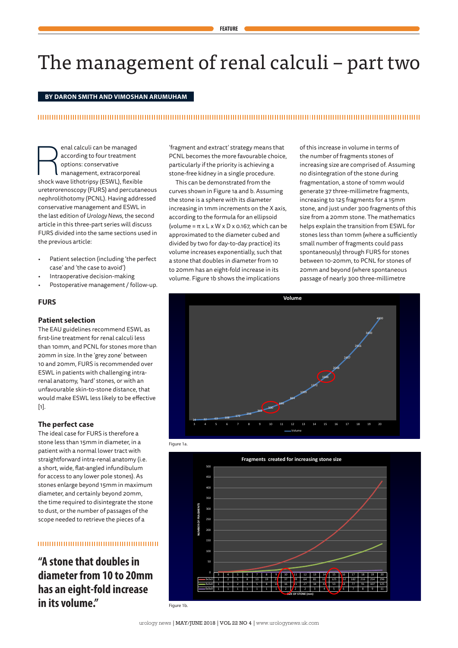# The management of renal calculi – part two

## **BY DARON SMITH AND VIMOSHAN ARUMUHAM**

# 

**Example 18 Alle Strates and Seconding to four treatment**<br>
options: conservative<br>
shock wave lithotripsy (ESWL), flexible according to four treatment options: conservative management, extracorporeal ureterorenoscopy (FURS) and percutaneous nephrolithotomy (PCNL). Having addressed conservative management and ESWL in the last edition of *Urology News*, the second article in this three-part series will discuss FURS divided into the same sections used in the previous article:

- Patient selection (including 'the perfect case' and 'the case to avoid')
- Intraoperative decision-making
- Postoperative management / follow-up.

## **FURS**

## **Patient selection**

The EAU guidelines recommend ESWL as first-line treatment for renal calculi less than 10mm, and PCNL for stones more than 20mm in size. In the 'grey zone' between 10 and 20mm, FURS is recommended over ESWL in patients with challenging intrarenal anatomy, 'hard' stones, or with an unfavourable skin-to-stone distance, that would make ESWL less likely to be effective  $[1]$ .

## **The perfect case**

The ideal case for FURS is therefore a stone less than 15mm in diameter, in a patient with a normal lower tract with straightforward intra-renal anatomy (i.e. a short, wide, flat-angled infundibulum for access to any lower pole stones). As stones enlarge beyond 15mm in maximum diameter, and certainly beyond 20mm, the time required to disintegrate the stone to dust, or the number of passages of the scope needed to retrieve the pieces of a

# 100000000000000000000000000000

**"A stone that doubles in diameter from 10 to 20mm has an eight-fold increase in its volume."**

'fragment and extract' strategy means that PCNL becomes the more favourable choice, particularly if the priority is achieving a stone-free kidney in a single procedure.

This can be demonstrated from the curves shown in Figure 1a and b. Assuming the stone is a sphere with its diameter increasing in 1mm increments on the X axis, according to the formula for an ellipsoid (volume = π x L x W x D x 0.167, which can be approximated to the diameter cubed and divided by two for day-to-day practice) its volume increases exponentially, such that a stone that doubles in diameter from 10 to 20mm has an eight-fold increase in its volume. Figure 1b shows the implications

of this increase in volume in terms of the number of fragments stones of increasing size are comprised of. Assuming no disintegration of the stone during fragmentation, a stone of 10mm would generate 37 three-millimetre fragments, increasing to 125 fragments for a 15mm stone, and just under 300 fragments of this size from a 20mm stone. The mathematics helps explain the transition from ESWL for stones less than 10mm (where a sufficiently small number of fragments could pass spontaneously) through FURS for stones between 10-20mm, to PCNL for stones of 20mm and beyond (where spontaneous passage of nearly 300 three-millimetre







Figure 1b.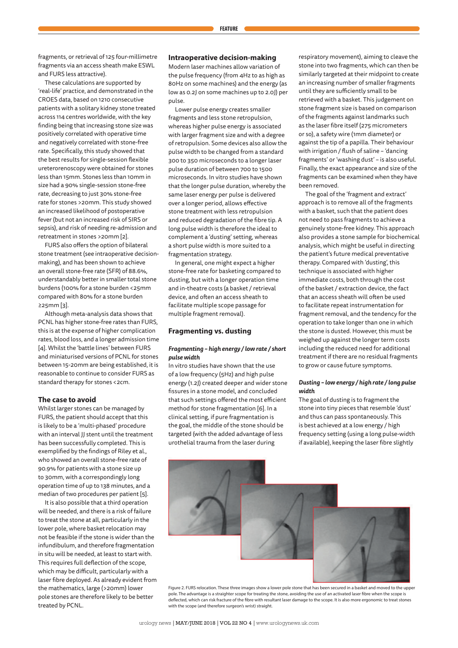fragments, or retrieval of 125 four-millimetre fragments via an access sheath make ESWL and FURS less attractive).

These calculations are supported by 'real-life' practice, and demonstrated in the CROES data, based on 1210 consecutive patients with a solitary kidney stone treated across 114 centres worldwide, with the key finding being that increasing stone size was positively correlated with operative time and negatively correlated with stone-free rate. Specifically, this study showed that the best results for single-session flexible ureterorenoscopy were obtained for stones less than 15mm. Stones less than 10mm in size had a 90% single-session stone-free rate, decreasing to just 30% stone-free rate for stones >20mm. This study showed an increased likelihood of postoperative fever (but not an increased risk of SIRS or sepsis), and risk of needing re-admission and retreatment in stones >20mm [2].

FURS also offers the option of bilateral stone treatment (see intraoperative decisionmaking), and has been shown to achieve an overall stone-free rate (SFR) of 88.6%, understandably better in smaller total stone burdens (100% for a stone burden <25mm compared with 80% for a stone burden ≥25mm [3].

Although meta-analysis data shows that PCNL has higher stone-free rates than FURS, this is at the expense of higher complication rates, blood loss, and a longer admission time [4]. Whilst the 'battle lines' between FURS and miniaturised versions of PCNL for stones between 15-20mm are being established, it is reasonable to continue to consider FURS as standard therapy for stones <2cm.

## **The case to avoid**

Whilst larger stones can be managed by FURS, the patient should accept that this is likely to be a 'multi-phased' procedure with an interval JJ stent until the treatment has been successfully completed. This is exemplified by the findings of Riley et al., who showed an overall stone-free rate of 90.9% for patients with a stone size up to 30mm, with a correspondingly long operation time of up to 138 minutes, and a median of two procedures per patient [5].

It is also possible that a third operation will be needed, and there is a risk of failure to treat the stone at all, particularly in the lower pole, where basket relocation may not be feasible if the stone is wider than the infundibulum, and therefore fragmentation in situ will be needed, at least to start with. This requires full deflection of the scope, which may be difficult, particularly with a laser fibre deployed. As already evident from the mathematics, large (>20mm) lower pole stones are therefore likely to be better treated by PCNL.

## **Intraoperative decision-making**

Modern laser machines allow variation of the pulse frequency (from 4Hz to as high as 80Hz on some machines) and the energy (as low as 0.2J on some machines up to 2.0J) per pulse.

Lower pulse energy creates smaller fragments and less stone retropulsion, whereas higher pulse energy is associated with larger fragment size and with a degree of retropulsion. Some devices also allow the pulse width to be changed from a standard 300 to 350 microseconds to a longer laser pulse duration of between 700 to 1500 microseconds. In vitro studies have shown that the longer pulse duration, whereby the same laser energy per pulse is delivered over a longer period, allows effective stone treatment with less retropulsion and reduced degradation of the fibre tip. A long pulse width is therefore the ideal to complement a 'dusting' setting, whereas a short pulse width is more suited to a fragmentation strategy.

In general, one might expect a higher stone-free rate for basketing compared to dusting, but with a longer operation time and in-theatre costs (a basket / retrieval device, and often an access sheath to facilitate multiple scope passage for multiple fragment removal).

## **Fragmenting vs. dusting**

## *Fragmenting – high energy / low rate / short pulse width*

In vitro studies have shown that the use of a low frequency (5Hz) and high pulse energy (1.2J) created deeper and wider stone fissures in a stone model, and concluded that such settings offered the most efficient method for stone fragmentation [6]. In a clinical setting, if pure fragmentation is the goal, the middle of the stone should be targeted (with the added advantage of less urothelial trauma from the laser during

respiratory movement), aiming to cleave the stone into two fragments, which can then be similarly targeted at their midpoint to create an increasing number of smaller fragments until they are sufficiently small to be retrieved with a basket. This judgement on stone fragment size is based on comparison of the fragments against landmarks such as the laser fibre itself (275 micrometers or so), a safety wire (1mm diameter) or against the tip of a papilla. Their behaviour with irrigation / flush of saline – 'dancing fragments' or 'washing dust' – is also useful. Finally, the exact appearance and size of the fragments can be examined when they have been removed.

The goal of the 'fragment and extract' approach is to remove all of the fragments with a basket, such that the patient does not need to pass fragments to achieve a genuinely stone-free kidney. This approach also provides a stone sample for biochemical analysis, which might be useful in directing the patient's future medical preventative therapy. Compared with 'dusting', this technique is associated with higher immediate costs, both through the cost of the basket / extraction device, the fact that an access sheath will often be used to facilitate repeat instrumentation for fragment removal, and the tendency for the operation to take longer than one in which the stone is dusted. However, this must be weighed up against the longer term costs including the reduced need for additional treatment if there are no residual fragments to grow or cause future symptoms.

#### *Dusting – low energy / high rate / long pulse width*

The goal of dusting is to fragment the stone into tiny pieces that resemble 'dust' and thus can pass spontaneously. This is best achieved at a low energy / high frequency setting (using a long pulse-width if available), keeping the laser fibre slightly

Figure 2. FURS relocation. These three images show a lower pole stone that has been secured in a basket and moved to the upper pole. The advantage is a straighter scope for treating the stone, avoiding the use of an activated laser fibre when the scope is deflected, which can risk fracture of the fibre with resultant laser damage to the scope. It is also more ergonomic to treat stones with the scope (and therefore surgeon's wrist) straight.

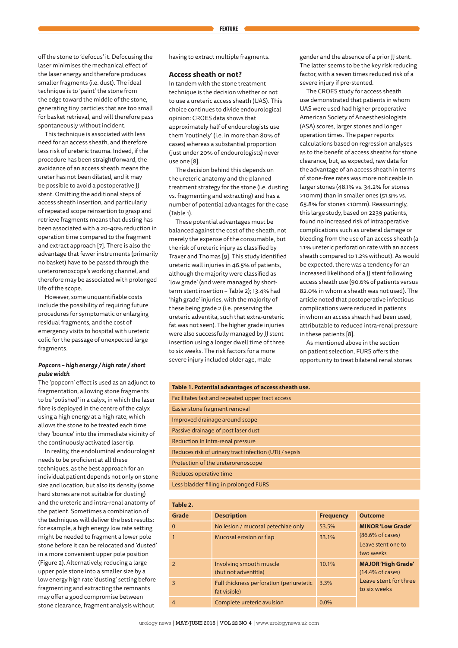off the stone to 'defocus' it. Defocusing the laser minimises the mechanical effect of the laser energy and therefore produces smaller fragments (i.e. dust). The ideal technique is to 'paint' the stone from the edge toward the middle of the stone, generating tiny particles that are too small for basket retrieval, and will therefore pass spontaneously without incident.

This technique is associated with less need for an access sheath, and therefore less risk of ureteric trauma. Indeed, if the procedure has been straightforward, the avoidance of an access sheath means the ureter has not been dilated, and it may be possible to avoid a postoperative JJ stent. Omitting the additional steps of access sheath insertion, and particularly of repeated scope reinsertion to grasp and retrieve fragments means that dusting has been associated with a 20-40% reduction in operation time compared to the fragment and extract approach [7]. There is also the advantage that fewer instruments (primarily no basket) have to be passed through the ureterorenoscope's working channel, and therefore may be associated with prolonged life of the scope.

However, some unquantifiable costs include the possibility of requiring future procedures for symptomatic or enlarging residual fragments, and the cost of emergency visits to hospital with ureteric colic for the passage of unexpected large fragments.

## *Popcorn – high energy / high rate / short pulse width*

The 'popcorn' effect is used as an adjunct to fragmentation, allowing stone fragments to be 'polished' in a calyx, in which the laser fibre is deployed in the centre of the calyx using a high energy at a high rate, which allows the stone to be treated each time they 'bounce' into the immediate vicinity of the continuously activated laser tip.

In reality, the endoluminal endourologist needs to be proficient at all these techniques, as the best approach for an individual patient depends not only on stone size and location, but also its density (some hard stones are not suitable for dusting) and the ureteric and intra-renal anatomy of the patient. Sometimes a combination of the techniques will deliver the best results: for example, a high energy low rate setting might be needed to fragment a lower pole stone before it can be relocated and 'dusted' in a more convenient upper pole position (Figure 2). Alternatively, reducing a large upper pole stone into a smaller size by a low energy high rate 'dusting' setting before fragmenting and extracting the remnants may offer a good compromise between stone clearance, fragment analysis without

having to extract multiple fragments.

#### **Access sheath or not?**

In tandem with the stone treatment technique is the decision whether or not to use a ureteric access sheath (UAS). This choice continues to divide endourological opinion: CROES data shows that approximately half of endourologists use them 'routinely' (i.e. in more than 80% of cases) whereas a substantial proportion (just under 20% of endourologists) never use one [8].

The decision behind this depends on the ureteric anatomy and the planned treatment strategy for the stone (i.e. dusting vs. fragmenting and extracting) and has a number of potential advantages for the case (Table 1).

These potential advantages must be balanced against the cost of the sheath, not merely the expense of the consumable, but the risk of ureteric injury as classified by Traxer and Thomas [9]. This study identified ureteric wall injuries in 46.5% of patients, although the majority were classified as 'low grade' (and were managed by shortterm stent insertion – Table 2); 13.4% had 'high grade' injuries, with the majority of these being grade 2 (i.e. preserving the ureteric adventita, such that extra-ureteric fat was not seen). The higher grade injuries were also successfully managed by JJ stent insertion using a longer dwell time of three to six weeks. The risk factors for a more severe injury included older age, male

gender and the absence of a prior JJ stent. The latter seems to be the key risk reducing factor, with a seven times reduced risk of a severe injury if pre-stented.

The CROES study for access sheath use demonstrated that patients in whom UAS were used had higher preoperative American Society of Anaesthesiologists (ASA) scores, larger stones and longer operation times. The paper reports calculations based on regression analyses as to the benefit of access sheaths for stone clearance, but, as expected, raw data for the advantage of an access sheath in terms of stone-free rates was more noticeable in larger stones (48.1% vs. 34.2% for stones >10mm) than in smaller ones (51.9% vs. 65.8% for stones <10mm). Reassuringly, this large study, based on 2239 patients, found no increased risk of intraoperative complications such as ureteral damage or bleeding from the use of an access sheath (a 1.1% ureteric perforation rate with an access sheath compared to 1.2% without). As would be expected, there was a tendency for an increased likelihood of a JJ stent following access sheath use (90.6% of patients versus 82.0% in whom a sheath was not used). The article noted that postoperative infectious complications were reduced in patients in whom an access sheath had been used, attributable to reduced intra-renal pressure in these patients [8].

As mentioned above in the section on patient selection, FURS offers the opportunity to treat bilateral renal stones

| Table 1. Potential advantages of access sheath use.    |  |  |  |  |
|--------------------------------------------------------|--|--|--|--|
| Facilitates fast and repeated upper tract access       |  |  |  |  |
| Easier stone fragment removal                          |  |  |  |  |
| Improved drainage around scope                         |  |  |  |  |
| Passive drainage of post laser dust                    |  |  |  |  |
| Reduction in intra-renal pressure                      |  |  |  |  |
| Reduces risk of urinary tract infection (UTI) / sepsis |  |  |  |  |
| Protection of the ureterorenoscope                     |  |  |  |  |
| Reduces operative time                                 |  |  |  |  |
| Less bladder filling in prolonged FURS                 |  |  |  |  |

| Table 2.       |                                                          |                  |                                                                                            |  |
|----------------|----------------------------------------------------------|------------------|--------------------------------------------------------------------------------------------|--|
| Grade          | <b>Description</b>                                       | <b>Frequency</b> | <b>Outcome</b>                                                                             |  |
| $\Omega$       | No lesion / mucosal petechiae only                       | 53.5%            | <b>MINOR 'Low Grade'</b><br>$(86.6\% \text{ of cases})$<br>Leave stent one to<br>two weeks |  |
| 1              | Mucosal erosion or flap                                  | 33.1%            |                                                                                            |  |
| 2              | Involving smooth muscle<br>(but not adventitia)          | 10.1%            | <b>MAJOR 'High Grade'</b><br>$(14.4\% \text{ of cases})$                                   |  |
| 3              | Full thickness perforation (periuretetic<br>fat visible) | 3.3%             | Leave stent for three<br>to six weeks                                                      |  |
| $\overline{4}$ | Complete ureteric avulsion                               | $0.0\%$          |                                                                                            |  |